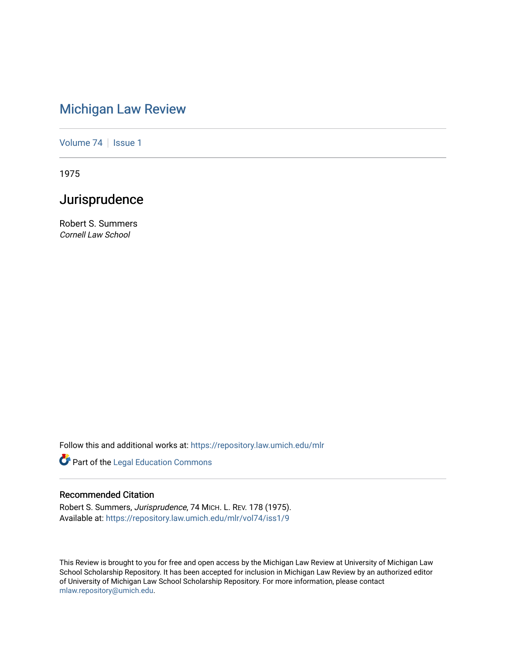## [Michigan Law Review](https://repository.law.umich.edu/mlr)

[Volume 74](https://repository.law.umich.edu/mlr/vol74) | [Issue 1](https://repository.law.umich.edu/mlr/vol74/iss1)

1975

## Jurisprudence

Robert S. Summers Cornell Law School

Follow this and additional works at: [https://repository.law.umich.edu/mlr](https://repository.law.umich.edu/mlr?utm_source=repository.law.umich.edu%2Fmlr%2Fvol74%2Fiss1%2F9&utm_medium=PDF&utm_campaign=PDFCoverPages) 

**Part of the Legal Education Commons** 

## Recommended Citation

Robert S. Summers, Jurisprudence, 74 MICH. L. REV. 178 (1975). Available at: [https://repository.law.umich.edu/mlr/vol74/iss1/9](https://repository.law.umich.edu/mlr/vol74/iss1/9?utm_source=repository.law.umich.edu%2Fmlr%2Fvol74%2Fiss1%2F9&utm_medium=PDF&utm_campaign=PDFCoverPages)

This Review is brought to you for free and open access by the Michigan Law Review at University of Michigan Law School Scholarship Repository. It has been accepted for inclusion in Michigan Law Review by an authorized editor of University of Michigan Law School Scholarship Repository. For more information, please contact [mlaw.repository@umich.edu.](mailto:mlaw.repository@umich.edu)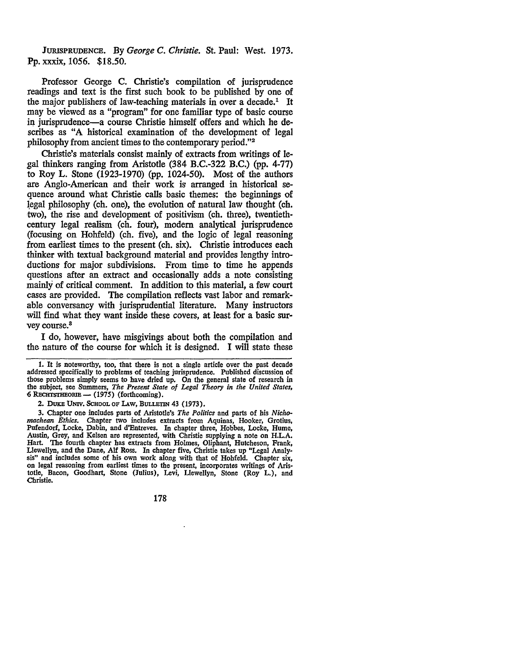JURISPRUDENCE. By *George* C. *Christie.* St. Paul: West. 1973. Pp. xxxix, 1056. \$18.50.

Professor George C. Christie's compilation of jurisprudence readings and text is the first such book to be published by one of the major publishers of law-teaching materials in over a decade.<sup>1</sup> It may be viewed as a "program" for one familiar type of basic course in jurisprudence-a course Christie himself offers and which he describes as "A historical examination of the development of legal philosophy from ancient times to the contemporary period."<sup>2</sup>

Christie's materials consist mainly of extracts from writings of legal thinkers ranging from Aristotle (384 B.C.-322 B.C.) (pp. 4-77) to Roy L. Stone (1923-1970) (pp. 1024-50). Most of the authors are Anglo-American and their work is arranged in historical sequence around what Christie calls basic themes: the beginnings of legal philosophy (ch. one), the evolution of natural law thought (ch. two), the rise and development of positivism (ch. three), twentiethcentury legal realism (ch. four), modem analytical jurisprudence (focusing on Hohfeld) (ch. five), and the logic of legal reasoning from earliest times to the present (ch. six). Christie introduces each thinker with textual background material and provides lengthy introductions for major subdivisions. From time to time he appends questions after an extract and occasionally adds a note consisting mainly of critical comment. In addition to this material, a few court cases are provided. The compilation reflects vast labor and remarkable conversancy with jurisprudential literature. Many instructors will find what they want inside these covers, at least for a basic survey course.<sup>3</sup>

I do, however, have misgivings about both the compilation and the nature of the course for which it is designed. I will state these

2. DUKE UNIV. SCHOOL OF LAW, BULLETIN 43 (1973).

3. Chapter one includes parts of Aristotle's *The Politics* and parts of his *Nichomachean Ethics.* Chapter two includes extracts from Aquinas, Hooker, Grotius, Pufendorf, Locke, Dabin, and d'Entreves. In chapter three, Hobbes, Locke, Hume, Austin, Grey, and Kelsen are represented, with Christie supplying a note on H.L.A. Hart. The fourth chapter has extracts from Holmes, Oliphant, Hutcheson, Frank, Llewellyn, and the Dane, Alf Ross. In chapter five, Christie takes up "Legal Analy• sis" and includes some of his own work along with that of Hohfeld. Chapter six, on legal reasoning from earliest times to the present, incorporates writings of Aris• totle, Bacon, Goodhart, Stone (Julius), Levi, Llewellyn, Stone (Roy L.), and Christie.

178

<sup>1.</sup> It is noteworthy, too, that there is not a single article over the past decade addressed specifically to problems of teaching jurisprudence. Published discussion of those problems simply seems to have dried up. On the general state of research in the subject, see Summers, *The Present State of Legal Theory in the United States,*  **6 RECHTSTHEORIE - (1975) (forthcoming).**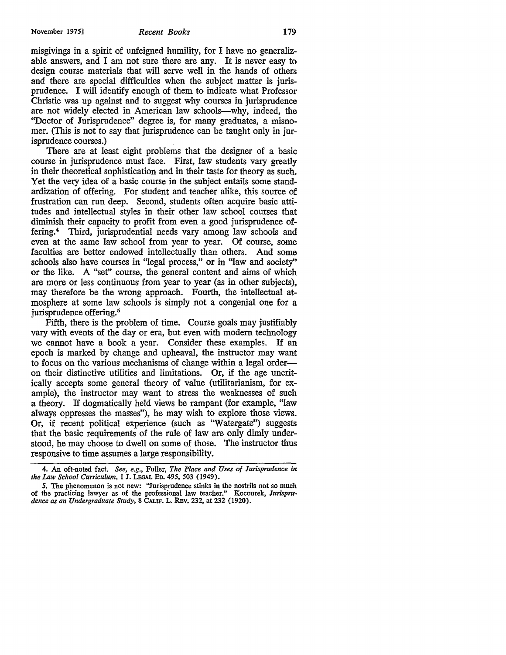misgivings in a spirit of unfeigned humility, for I have no generalizable answers, and I am not sure there are any. It is never easy to design course materials that will serve well in the hands of others and there are special difficulties when the subject matter is jurisprudence. I will identify enough of them to indicate what Professor Christie was up against and to suggest why courses in jurisprudence are not widely elected in American law schools-why, indeed, the "Doctor of Jurisprudence" degree is, for many graduates, a misnomer. (This is not to say that jurisprudence can be taught only in jurisprudence courses.)

There are at least eight problems that the designer of a basic course in jurisprudence must face. First, law students vary greatly in their theoretical sophistication and in their taste for theory as such. Yet the very idea of a basic course in the subject entails some standardization of offering. For student and teacher alike, this source of frustration can run deep. Second, students often acquire basic attitudes and intellectual styles in their other law school courses that diminish their capacity to profit from even a good jurisprudence offering.<sup>4</sup> Third, jurisprudential needs vary among law schools and even at the same law school from year to year. Of course, some faculties are better endowed intellectually than others. And some schools also have courses in "legal process," or in "law and society'' or the like. A "set" course, the general content and aims of which are more or less continuous from year to year (as in other subjects), may therefore be the wrong approach. Fourth, the intellectual atmosphere at some law schools is simply not a congenial one for a jurisprudence offering.<sup>5</sup>

Fifth, there is the problem of time. Course goals may justifiably vary with events of the day or era, but even with modem technology we cannot have a book a year. Consider these examples. If an epoch is marked by change and upheaval, the instructor may want to focus on the various mechanisms of change within a legal orderon their distinctive utilities and limitations. Or, if the age uncritically accepts some general theory of value (utilitarianism, for example), the instructor may want to stress the weaknesses of such a theory. If dogmatically held views be rampant (for example, "law always oppresses the masses"), he may wish to explore those views. Or, if recent political experience (such as "Watergate") suggests that the basic requirements of the rule of law are only dimly understood, he may choose to dwell on some of those. The instructor thus responsive to time assumes a large responsibility.

<sup>4.</sup> An oft-noted fact. *See, e.g.,* Fuller, *The Place and Uses of Jurisprudence in the Law School Curriculum,* 1 J. LEGAL Eo. 495, 503 (1949).

*<sup>5.</sup>* The phenomenon is not new: "Jurisprudence stinks in the nostrils not so much of the practicing lawyer as of the professional law teacher." Kocourek, *Jurispru*dence as an Undergraduate Study, 8 CALIF. L. REV. 232, at 232 (1920).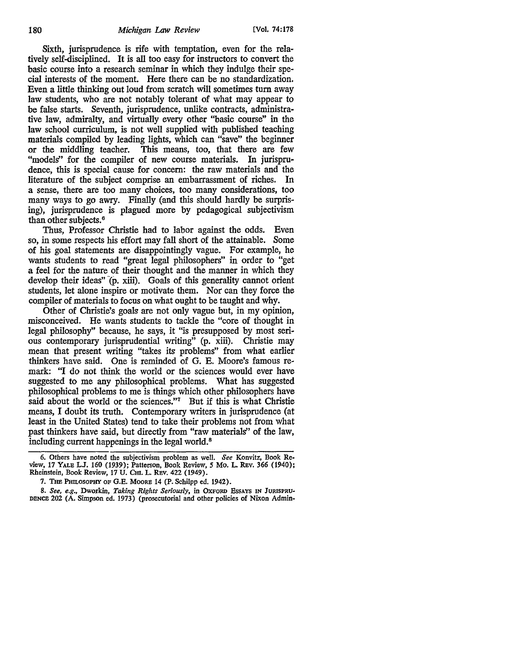Sixth, jurisprudence is rife with temptation, even for the relatively self-disciplined. It is all too easy for instructors to convert the basic course into a research seminar in which they indulge their special interests of the moment. Here there can be no standardization. Even a little thinking out loud from scratch will sometimes tum away law students, who are not notably tolerant of what may appear to be false starts. Seventh, jurisprudence, unlike contracts, administrative law, admiralty, and virtually every other "basic course" in the law school curriculum, is not well supplied with published teaching materials compiled by leading lights, which can "save" the beginner or the middling teacher. This means, too, that there are few "models" for the compiler of new course materials. In jurisprudence, this is special cause for concern: the raw materials and the literature of the subject comprise an embarrassment of riches. In a sense, there are too many choices, too many considerations, too many ways to go awry. Finally (and this should hardly be surprising), jurisprudence is plagued more by pedagogical subjectivism than other subjects. <sup>6</sup>

Thus, Professor Christie had to labor against the odds. Even so, in some respects his effort may fall short of the attainable. Some of his goal statements are disappointingly vague. For example, he wants students to read "great legal philosophers" in order to "get a feel for the nature of their thought and the manner in which they develop their ideas" (p. xiii). Goals of this generality cannot orient students, let alone inspire or motivate them. Nor can they force the compiler of materials to focus on what ought to be taught and why.

Other of Christie's goals are not only vague but, in my opinion, misconceived. He wants students to tackle the "core of thought in legal philosophy" because, he says, it "is presupposed by most serious contemporary jurisprudential writing<sup>"</sup> (p. xiii). Christie may mean that present writing "takes its problems" from what earlier thinkers have said. One is reminded of G. E. Moore's famous remark: "I do not think the world or the sciences would ever have suggested to me any philosophical problems. What has suggested philosophical problems to me is things which other philosophers have said about the world or the sciences."<sup>7</sup> But if this is what Christie means, I doubt its truth. Contemporary writers in jurisprudence (at least in the United States) tend to take their problems not from what past thinkers have said, but directly from "raw materials" of the law, including current happenings in the legal world. <sup>8</sup>

<sup>6.</sup> Others have noted the subjectivism problem as well. *See* Konvitz, Book Review, 17 YALE LJ. 160 (1939); Patterson, Book Review, *5* Mo. L. REv. 366 (1940); Rheinstein, Book Review, 17 U. CHI. L. REV. 422 (1949).

<sup>7.</sup> THE PHILOSOPHY OF G.E. MooRE 14 (P. Schilpp ed. 1942).

<sup>8.</sup> *See, e.g.,* Dworkin, *Taking Rights Seriously,* in OXFORD EssAYS IN JuRISPRU• DENCE 202 (A. Simpson ed. 1973) (prosecutorial and other policies of Nixon Admin-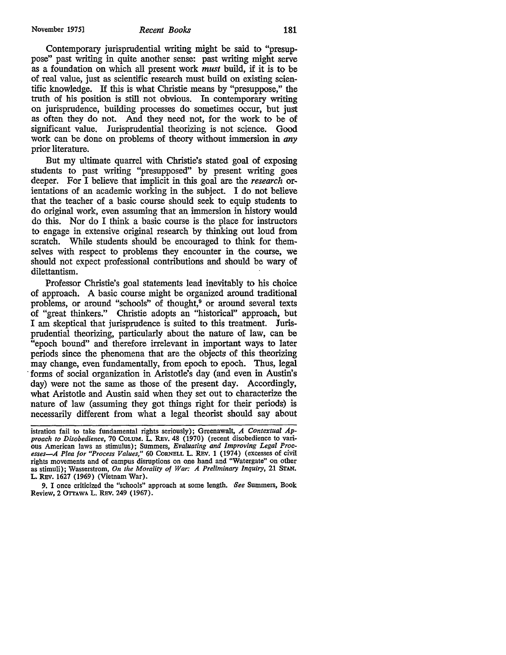November 1975] *Recent Books* **181** 

Contemporary jurisprudential writing might be said to "presuppose" past writing in quite another sense: past writing might serve as a foundation on which all present work *must* build, if it is to be of real value, just as scientific research must build on existing scientific knowledge. If this is what Christie means by "presuppose," the truth of his position is still not obvious. In contemporary writing on jurisprudence, building processes do sometimes occur, but just as often they do not. And they need not, for the work to be of significant value. Jurisprudential theorizing is not science. Good work can be done on problems of theory without immersion in *any* prior literature.

But my ultimate quarrel with Christie's stated goal of exposing students to past writing "presupposed" by present writing goes deeper. For I believe that implicit in this goal are the *research* orientations of an academic working in the subject. I do not believe that the teacher of a basic course should seek to equip students to do original work, even assuming that an immersion in history would do this. Nor do I think a basic course is the place for instructors to engage in extensive original research by thinking out loud from scratch. While students should be encouraged to think for themselves with respect to problems they encounter in the course, we should not expect professional contributions and should be wary of dilettantism.

Professor Christie's goal statements lead inevitably to his choice of approach. A basic course might be organized around traditional problems, or around "schools" of thought,<sup>9</sup> or around several texts of "great thinkers." Christie adopts an "historical" approach, but I am skeptical that jurisprudence is suited to this treatment. Jurisprudential theorizing, particularly about the nature of law, can be "epoch bound" and therefore irrelevant in important ways to later periods since the phenomena that are the objects of this theorizing may change, even fundamentally, from epoch to epoch. Thus, legal forms of social organization in Aristotle's day (and even in Austin's day) were not the same as those of the present day. Accordingly, what Aristotle and Austin said when they set out to characterize the nature of law (assuming they got things right for their periods) is necessarily different from what a legal theorist should say about

istration fail to take fundamental rights seriously); Greenawalt, *A Contextual Approach to Disobedience,* 70 CoLUM. L. REv. 48 (1970) (recent disobedience to vari- ous American laws as stimulus); Summers, *Evaluating and Improving Legal Processes-A Plea for "Process Values,"* 60 CORNELL L. REv. 1 (1974) (excesses of civil rights movements and of campus disruptions on one hand and "Watergate" on other as stimuli); Wasserstrom, *On the Morality of War:* A *Preliminary Inquiry,* 21 STAN. L. Rev. 1627 (1969) (Vietnam War).

<sup>9.</sup> I once criticized the "schools" approach at some length. *-See* Summers, Book Review, 2 OrrAWA L. REV. 249 (1967).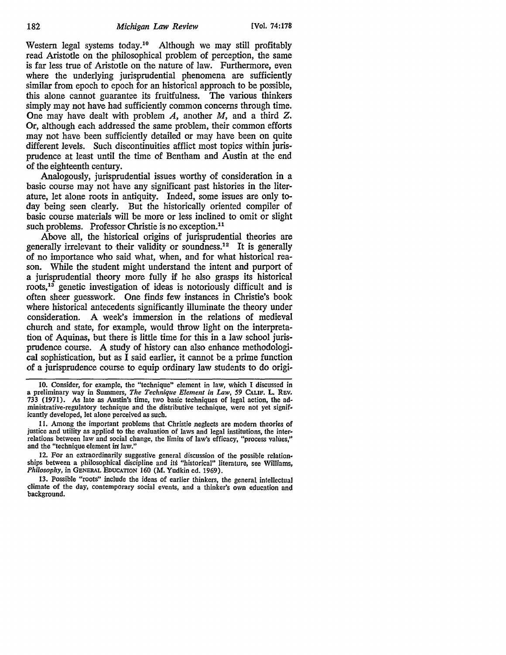Western legal systems today.<sup>10</sup> Although we may still profitably read Aristotle on the philosophical problem of perception, the same is far less true of Aristotle on the nature of law. Furthermore, even where the underlying jurisprudential phenomena are sufficiently similar from epoch to epoch for an historical approach to be possible, this alone cannot guarantee its fruitfulness. The various thinkers simply may not have had sufficiently common concerns through time. One may have dealt with problem A, another M, and a third Z. Or, although each addressed the same problem, their common efforts may not have been sufficiently detailed or may have been on quite different levels. Such discontinuities afflict most topics within jurisprudence at least until the time of Bentham and Austin at the end of the eighteenth century.

Analogously, jurisprudential issues worthy of consideration in a basic course may not have any significant past histories in the literature, let alone roots in antiquity. Indeed, some issues are only today being seen clearly. But the historically oriented compiler of basic course materials will be more or less inclined to omit or slight such problems. Professor Christie is no exception.<sup>11</sup>

Above all, the historical origins of jurisprudential theories are generally irrelevant to their validity or soundness.<sup>12</sup> It is generally of no importance who said what, when, and for what historical reason. While the student might understand the intent and purport of a jurisprudential theory more fully if he also grasps its historical roots, 13 genetic investigation of ideas is notoriously difficult and is often sheer guesswork. One finds few instances in Christie's book where historical antecedents significantly illuminate the theory under consideration. A week's immersion in the relations of medieval church and state, for example, would throw light on the interpretation of Aquinas, but there is little time for this in a law school jurisprudence course. A study of history can also enhance methodological sophistication, but as I said earlier, it cannot be a prime function of a jurisprudence course to equip ordinary law students to do origi-

12. For an extraordinarily suggestive general discussion of the possible relationships between a philosophical discipline and its "historical" literature, see Williams, *Philosophy,* in GENERAL EDUCATION 160 (M. Yudkin ed. 1969).

13. Possible "roots" include the ideas of earlier thinkers, the general intellectual climate of the day, contemporary social events, and a thinker's own education and background.

<sup>10.</sup> Consider, for example, the "technique" element in law, which I discussed in a preliminary way in Summers, *The Technique Element in Law, 59* CALIF. L. REV, 733 (1971). As late as Austin's time, two basic techniques of legal action, the administrative-regulatory technique and the distributive technique, were not yet significantly developed, let alone perceived as such.

<sup>11.</sup> Among the important problems that Christie neglects are modem theories of justice and utility as applied to the evaluation of laws and legal institutions, the inter• relations between law and social change, the limits of law's efficacy, "process values," and the "technique element in law."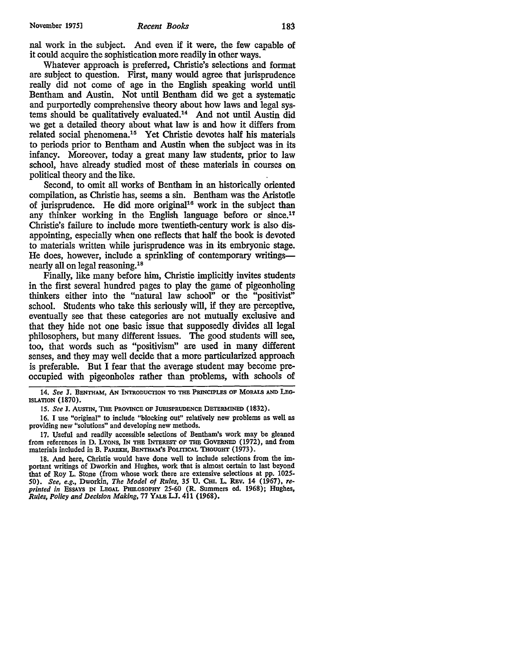nal work in the subject. And even if it were, the few capable of it could acquire the sophistication more readily in other ways.

Whatever approach is preferred, Christie's selections and format are subject to question. First, many would agree that jurisprudence really did not come of age in the English speaking world until Bentham and Austin. Not until Bentham did we get a systematic and purportedly comprehensive theory about how laws and legal systems should be qualitatively evaluated.14 And not until Austin did we get a detailed theory about what law is and how it differs from related social phenomena.15 Yet Christie devotes half his materials to periods prior to Bentham and Austin when the subject was in its infancy. Moreover, today a great many law students, prior to law school, have already studied most of these materials in courses on political theory and the like.

Second, to omit all works of Bentham in an historically oriented compilation, as Christie has, seems a sin. Bentham was the Aristotle of jurisprudence. He did more original<sup>16</sup> work in the subject than any thinker working in the English language before or since.<sup>17</sup> Christie's failure to include more twentieth-century work is also disappointing, especially when one reflects that half the book is devoted to materials written while jurisprudence was in its embryonic stage. He does, however, include a sprinkling of contemporary writingsnearly all on legal reasoning.18

Finally, like many before him, Christie implicitly invites students in the first several hundred pages to play the game of pigeonholing thinkers either into the "natural law school" or the "positivist" school. Students who take this seriously will, if they are perceptive, eventually see that these categories are not mutually exclusive and that they hide not one basic issue that supposedly divides all legal philosophers, but many different issues. The good students will see, too, that words such as "positivism" are used in many different senses, and they may well decide that a more particularized approach is preferable. But I fear that the average student may become preoccupied with pigeonholes rather than problems, with schools of

14. See J. BENTHAM, AN INTRODUCTION TO THE PRINCIPLES OF MORALS AND LEG-ISLATION (1870).

15. See J. AUSTIN, THE PROVINCE OF JURISPRUDENCE DETERMINED (1832).

16. I use "original" to include "blocking out" relatively new problems as well as providing new "solutions" and developing new methods.

17. Useful and readily accessible selections of Bentham's work may be gleaned from references in D. LYONS, IN THE INTEREST OF THE GOVERNED (1972), and from materials included in B. PAREKH, BENTHAM'S POLITICAL THOUGHT (1973).

18. And here, Christie would have done well to include selections from the important writings of Dworkin and Hughes, work that is almost certain to last beyond that of Roy L. Stone (from whose work there are extensive selections at pp. 102S-50). *See, e.g., Dworkin, The Model of Rules, 35 U. Cm. L. REv. 14 (1967), reprinted in* EssAYS IN LEGAL PHILOSOPHY 2S-60 (R. Summers ed. 1968); Hughes, *Rules, Policy and Decision Making, 11* YALE LJ. 411 (1968).